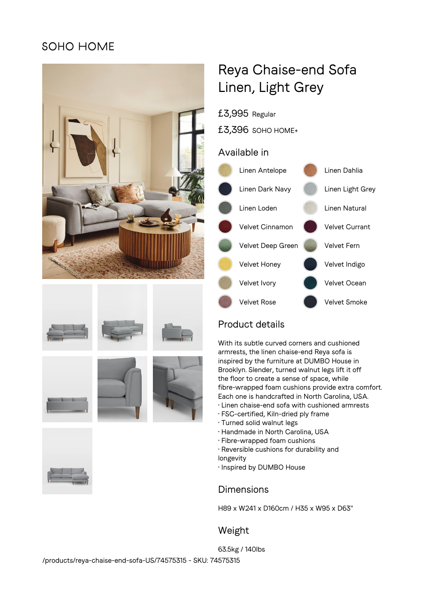## SOHO HOME











# Reya Chaise-end Sofa Linen, Light Grey

£3,995 Regular

£3,396 SOHO HOME+

## Available in



## Product details

With its subtle curved corners and cushioned armrests, the linen chaise-end Reya sofa is inspired by the furniture at DUMBO House in Brooklyn. Slender, turned walnut legs lift it off the floor to create a sense of space, while fibre-wrapped foam cushions provide extra comfort. Each one is handcrafted in North Carolina, USA.

- Linen chaise-end sofa with cushioned armrests
- FSC-certified, Kiln-dried ply frame
- Turned solid walnut legs
- Handmade in North Carolina, USA
- Fibre-wrapped foam cushions
- Reversible cushions for durability and
- longevity
- Inspired by DUMBO House

## Dimensions

H89 x W241 x D160cm / H35 x W95 x D63"

## Weight

63.5kg / 140lbs